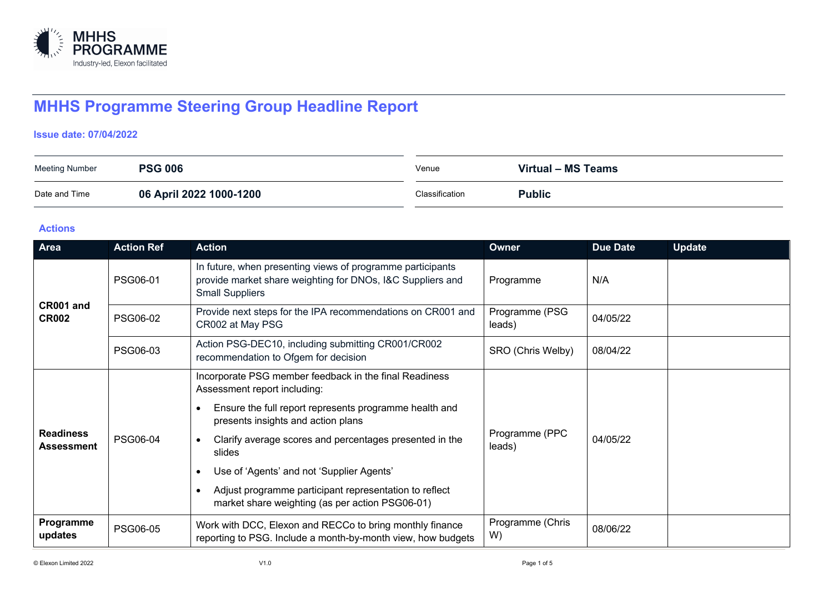

# **MHHS Programme Steering Group Headline Report**

#### **Issue date: 07/04/2022**

| <b>Meeting Number</b> | <b>PSG 006</b>          | Venue          | Virtual - MS Teams |
|-----------------------|-------------------------|----------------|--------------------|
| Date and Time         | 06 April 2022 1000-1200 | Classification | <b>Public</b>      |

#### **Actions**

| Area                           | <b>Action Ref</b> | <b>Action</b>                                                                                                                                      | Owner                    | <b>Due Date</b> | <b>Update</b> |
|--------------------------------|-------------------|----------------------------------------------------------------------------------------------------------------------------------------------------|--------------------------|-----------------|---------------|
| CR001 and<br><b>CR002</b>      | PSG06-01          | In future, when presenting views of programme participants<br>provide market share weighting for DNOs, I&C Suppliers and<br><b>Small Suppliers</b> | Programme                | N/A             |               |
|                                | <b>PSG06-02</b>   | Provide next steps for the IPA recommendations on CR001 and<br>CR002 at May PSG                                                                    | Programme (PSG<br>leads) | 04/05/22        |               |
|                                | PSG06-03          | Action PSG-DEC10, including submitting CR001/CR002<br>recommendation to Ofgem for decision                                                         | SRO (Chris Welby)        | 08/04/22        |               |
| <b>Readiness</b><br>Assessment |                   | Incorporate PSG member feedback in the final Readiness<br>Assessment report including:<br>Ensure the full report represents programme health and   | Programme (PPC<br>leads) | 04/05/22        |               |
|                                | PSG06-04          | presents insights and action plans                                                                                                                 |                          |                 |               |
|                                |                   | Clarify average scores and percentages presented in the<br>slides                                                                                  |                          |                 |               |
|                                |                   | Use of 'Agents' and not 'Supplier Agents'                                                                                                          |                          |                 |               |
|                                |                   | Adjust programme participant representation to reflect<br>market share weighting (as per action PSG06-01)                                          |                          |                 |               |
| Programme<br>updates           | <b>PSG06-05</b>   | Work with DCC, Elexon and RECCo to bring monthly finance<br>reporting to PSG. Include a month-by-month view, how budgets                           | Programme (Chris<br>W)   | 08/06/22        |               |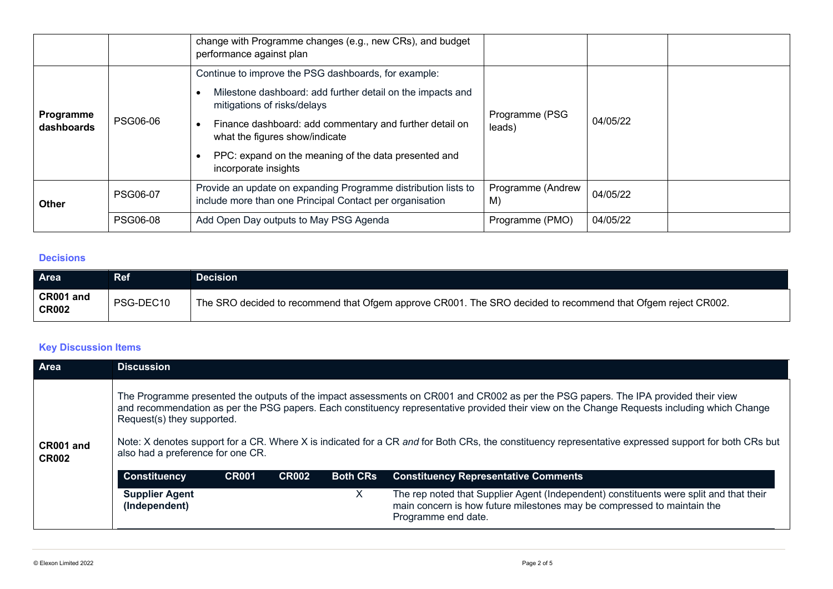|                         |                 | change with Programme changes (e.g., new CRs), and budget<br>performance against plan                                      |                         |          |  |
|-------------------------|-----------------|----------------------------------------------------------------------------------------------------------------------------|-------------------------|----------|--|
|                         | <b>PSG06-06</b> | Continue to improve the PSG dashboards, for example:                                                                       |                         |          |  |
| Programme<br>dashboards |                 | Milestone dashboard: add further detail on the impacts and<br>mitigations of risks/delays<br>Programme (PSG                |                         | 04/05/22 |  |
|                         |                 | Finance dashboard: add commentary and further detail on<br>leads)<br>what the figures show/indicate                        |                         |          |  |
|                         |                 | PPC: expand on the meaning of the data presented and<br>incorporate insights                                               |                         |          |  |
| <b>Other</b>            | <b>PSG06-07</b> | Provide an update on expanding Programme distribution lists to<br>include more than one Principal Contact per organisation | Programme (Andrew<br>M) | 04/05/22 |  |
|                         | <b>PSG06-08</b> | Add Open Day outputs to May PSG Agenda                                                                                     | Programme (PMO)         | 04/05/22 |  |

#### **Decisions**

| <b>Area</b>               | Ref       | Decision                                                                                                     |
|---------------------------|-----------|--------------------------------------------------------------------------------------------------------------|
| CR001 and<br><b>CR002</b> | PSG-DEC10 | The SRO decided to recommend that Ofgem approve CR001. The SRO decided to recommend that Ofgem reject CR002. |

## **Key Discussion Items**

| Area                      | <b>Discussion</b>                                                                                                                                                                                                                                                                                                                                                                                                                                                                                              |              |              |                 |                                                                                                                                                                                          |  |  |
|---------------------------|----------------------------------------------------------------------------------------------------------------------------------------------------------------------------------------------------------------------------------------------------------------------------------------------------------------------------------------------------------------------------------------------------------------------------------------------------------------------------------------------------------------|--------------|--------------|-----------------|------------------------------------------------------------------------------------------------------------------------------------------------------------------------------------------|--|--|
| CR001 and<br><b>CR002</b> | The Programme presented the outputs of the impact assessments on CR001 and CR002 as per the PSG papers. The IPA provided their view<br>and recommendation as per the PSG papers. Each constituency representative provided their view on the Change Requests including which Change<br>Request(s) they supported.<br>Note: X denotes support for a CR. Where X is indicated for a CR and for Both CRs, the constituency representative expressed support for both CRs but<br>also had a preference for one CR. |              |              |                 |                                                                                                                                                                                          |  |  |
|                           | <b>Constituency</b>                                                                                                                                                                                                                                                                                                                                                                                                                                                                                            | <b>CR001</b> | <b>CR002</b> | <b>Both CRs</b> | <b>Constituency Representative Comments</b>                                                                                                                                              |  |  |
|                           | <b>Supplier Agent</b><br>(Independent)                                                                                                                                                                                                                                                                                                                                                                                                                                                                         |              |              | X.              | The rep noted that Supplier Agent (Independent) constituents were split and that their<br>main concern is how future milestones may be compressed to maintain the<br>Programme end date. |  |  |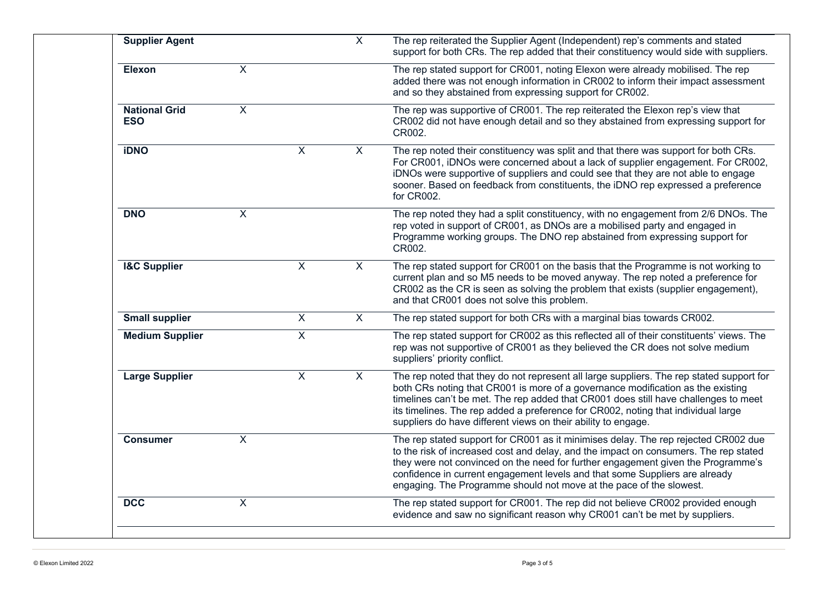| <b>Supplier Agent</b>              |                           |                           | $\overline{X}$ | The rep reiterated the Supplier Agent (Independent) rep's comments and stated<br>support for both CRs. The rep added that their constituency would side with suppliers.                                                                                                                                                                                                                                                  |
|------------------------------------|---------------------------|---------------------------|----------------|--------------------------------------------------------------------------------------------------------------------------------------------------------------------------------------------------------------------------------------------------------------------------------------------------------------------------------------------------------------------------------------------------------------------------|
| Elexon                             | $\boldsymbol{\mathsf{X}}$ |                           |                | The rep stated support for CR001, noting Elexon were already mobilised. The rep<br>added there was not enough information in CR002 to inform their impact assessment<br>and so they abstained from expressing support for CR002.                                                                                                                                                                                         |
| <b>National Grid</b><br><b>ESO</b> | $\mathsf{X}$              |                           |                | The rep was supportive of CR001. The rep reiterated the Elexon rep's view that<br>CR002 did not have enough detail and so they abstained from expressing support for<br>CR002.                                                                                                                                                                                                                                           |
| <b>iDNO</b>                        |                           | $\sf X$                   | X              | The rep noted their constituency was split and that there was support for both CRs.<br>For CR001, iDNOs were concerned about a lack of supplier engagement. For CR002,<br>iDNOs were supportive of suppliers and could see that they are not able to engage<br>sooner. Based on feedback from constituents, the iDNO rep expressed a preference<br>for CR002.                                                            |
| <b>DNO</b>                         | X                         |                           |                | The rep noted they had a split constituency, with no engagement from 2/6 DNOs. The<br>rep voted in support of CR001, as DNOs are a mobilised party and engaged in<br>Programme working groups. The DNO rep abstained from expressing support for<br>CR002.                                                                                                                                                               |
| <b>I&amp;C Supplier</b>            |                           | $\overline{X}$            | $\overline{X}$ | The rep stated support for CR001 on the basis that the Programme is not working to<br>current plan and so M5 needs to be moved anyway. The rep noted a preference for<br>CR002 as the CR is seen as solving the problem that exists (supplier engagement),<br>and that CR001 does not solve this problem.                                                                                                                |
| <b>Small supplier</b>              |                           | $\boldsymbol{\mathsf{X}}$ | X              | The rep stated support for both CRs with a marginal bias towards CR002.                                                                                                                                                                                                                                                                                                                                                  |
| <b>Medium Supplier</b>             |                           | $\overline{X}$            |                | The rep stated support for CR002 as this reflected all of their constituents' views. The<br>rep was not supportive of CR001 as they believed the CR does not solve medium<br>suppliers' priority conflict.                                                                                                                                                                                                               |
| <b>Large Supplier</b>              |                           | $\overline{X}$            | $\overline{X}$ | The rep noted that they do not represent all large suppliers. The rep stated support for<br>both CRs noting that CR001 is more of a governance modification as the existing<br>timelines can't be met. The rep added that CR001 does still have challenges to meet<br>its timelines. The rep added a preference for CR002, noting that individual large<br>suppliers do have different views on their ability to engage. |
| <b>Consumer</b>                    | $\overline{X}$            |                           |                | The rep stated support for CR001 as it minimises delay. The rep rejected CR002 due<br>to the risk of increased cost and delay, and the impact on consumers. The rep stated<br>they were not convinced on the need for further engagement given the Programme's<br>confidence in current engagement levels and that some Suppliers are already<br>engaging. The Programme should not move at the pace of the slowest.     |
| DCC                                | $\overline{X}$            |                           |                | The rep stated support for CR001. The rep did not believe CR002 provided enough<br>evidence and saw no significant reason why CR001 can't be met by suppliers.                                                                                                                                                                                                                                                           |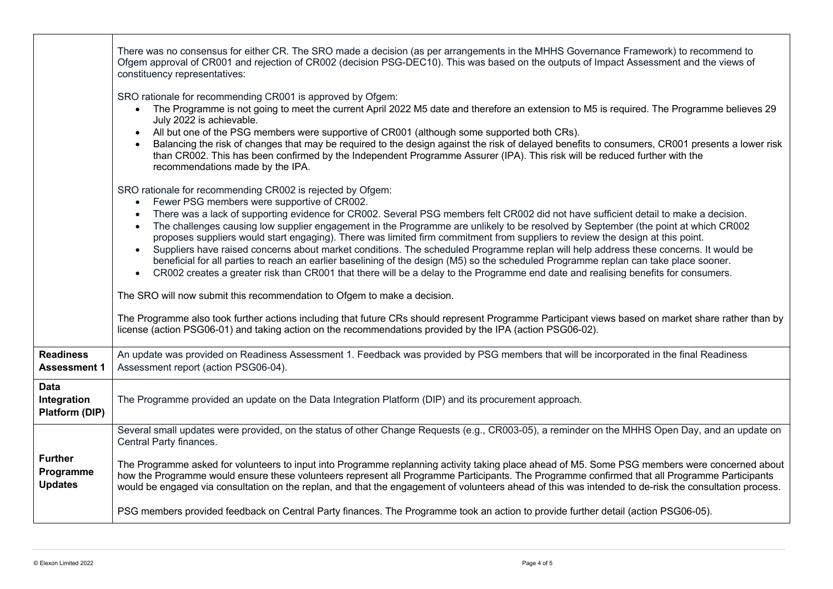|                                                     | There was no consensus for either CR. The SRO made a decision (as per arrangements in the MHHS Governance Framework) to recommend to<br>Ofgem approval of CR001 and rejection of CR002 (decision PSG-DEC10). This was based on the outputs of Impact Assessment and the views of<br>constituency representatives:                                                                                                                                                                                                                                                                                                                                                                                                                                                                                                                                                                                                                                |
|-----------------------------------------------------|--------------------------------------------------------------------------------------------------------------------------------------------------------------------------------------------------------------------------------------------------------------------------------------------------------------------------------------------------------------------------------------------------------------------------------------------------------------------------------------------------------------------------------------------------------------------------------------------------------------------------------------------------------------------------------------------------------------------------------------------------------------------------------------------------------------------------------------------------------------------------------------------------------------------------------------------------|
|                                                     | SRO rationale for recommending CR001 is approved by Ofgem:<br>The Programme is not going to meet the current April 2022 M5 date and therefore an extension to M5 is required. The Programme believes 29<br>July 2022 is achievable.<br>All but one of the PSG members were supportive of CR001 (although some supported both CRs).<br>Balancing the risk of changes that may be required to the design against the risk of delayed benefits to consumers, CR001 presents a lower risk<br>than CR002. This has been confirmed by the Independent Programme Assurer (IPA). This risk will be reduced further with the<br>recommendations made by the IPA.                                                                                                                                                                                                                                                                                          |
|                                                     | SRO rationale for recommending CR002 is rejected by Ofgem:<br>Fewer PSG members were supportive of CR002.<br>There was a lack of supporting evidence for CR002. Several PSG members felt CR002 did not have sufficient detail to make a decision.<br>The challenges causing low supplier engagement in the Programme are unlikely to be resolved by September (the point at which CR002<br>proposes suppliers would start engaging). There was limited firm commitment from suppliers to review the design at this point.<br>Suppliers have raised concerns about market conditions. The scheduled Programme replan will help address these concerns. It would be<br>beneficial for all parties to reach an earlier baselining of the design (M5) so the scheduled Programme replan can take place sooner.<br>CR002 creates a greater risk than CR001 that there will be a delay to the Programme end date and realising benefits for consumers. |
|                                                     | The SRO will now submit this recommendation to Ofgem to make a decision.                                                                                                                                                                                                                                                                                                                                                                                                                                                                                                                                                                                                                                                                                                                                                                                                                                                                         |
|                                                     | The Programme also took further actions including that future CRs should represent Programme Participant views based on market share rather than by<br>license (action PSG06-01) and taking action on the recommendations provided by the IPA (action PSG06-02).                                                                                                                                                                                                                                                                                                                                                                                                                                                                                                                                                                                                                                                                                 |
| <b>Readiness</b><br><b>Assessment 1</b>             | An update was provided on Readiness Assessment 1. Feedback was provided by PSG members that will be incorporated in the final Readiness<br>Assessment report (action PSG06-04).                                                                                                                                                                                                                                                                                                                                                                                                                                                                                                                                                                                                                                                                                                                                                                  |
| <b>Data</b><br>Integration<br><b>Platform (DIP)</b> | The Programme provided an update on the Data Integration Platform (DIP) and its procurement approach.                                                                                                                                                                                                                                                                                                                                                                                                                                                                                                                                                                                                                                                                                                                                                                                                                                            |
|                                                     | Several small updates were provided, on the status of other Change Requests (e.g., CR003-05), a reminder on the MHHS Open Day, and an update on<br>Central Party finances.                                                                                                                                                                                                                                                                                                                                                                                                                                                                                                                                                                                                                                                                                                                                                                       |
| <b>Further</b><br>Programme<br><b>Updates</b>       | The Programme asked for volunteers to input into Programme replanning activity taking place ahead of M5. Some PSG members were concerned about<br>how the Programme would ensure these volunteers represent all Programme Participants. The Programme confirmed that all Programme Participants<br>would be engaged via consultation on the replan, and that the engagement of volunteers ahead of this was intended to de-risk the consultation process.                                                                                                                                                                                                                                                                                                                                                                                                                                                                                        |
|                                                     | PSG members provided feedback on Central Party finances. The Programme took an action to provide further detail (action PSG06-05).                                                                                                                                                                                                                                                                                                                                                                                                                                                                                                                                                                                                                                                                                                                                                                                                               |

п